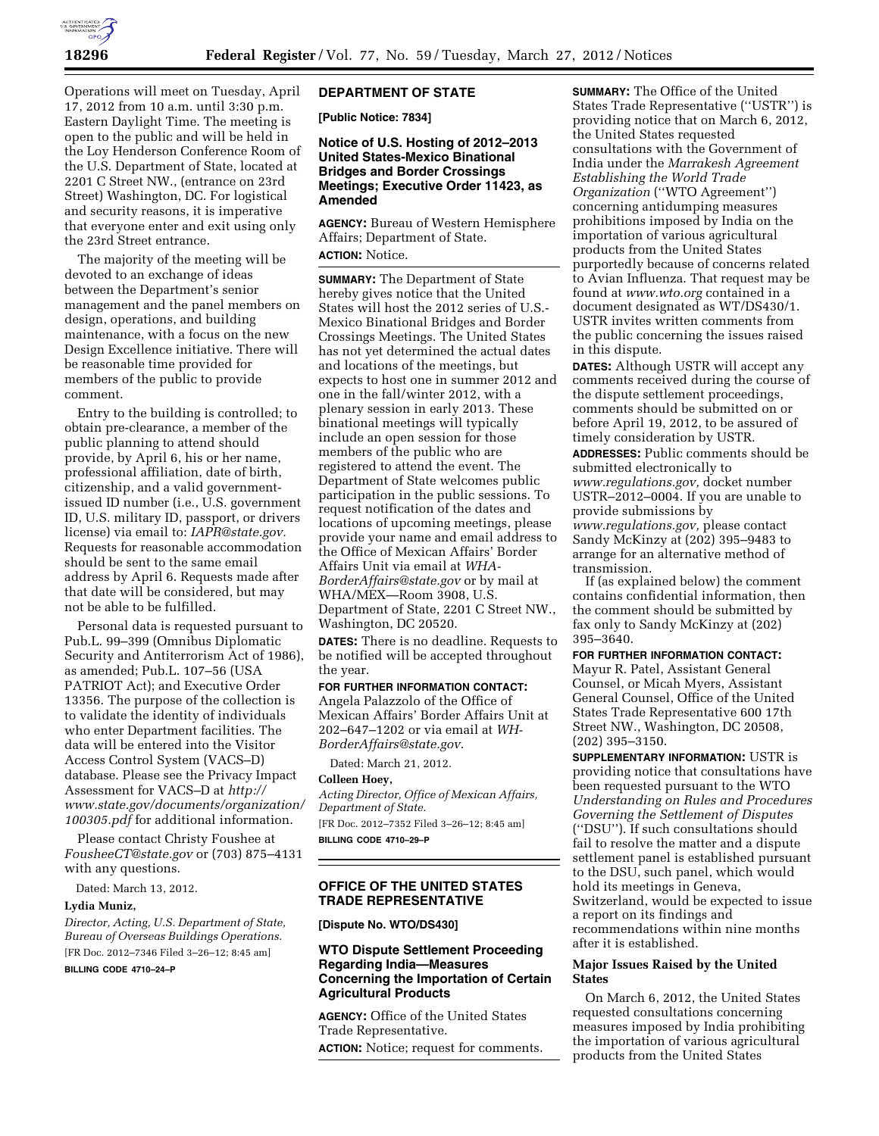

Operations will meet on Tuesday, April 17, 2012 from 10 a.m. until 3:30 p.m. Eastern Daylight Time. The meeting is open to the public and will be held in the Loy Henderson Conference Room of the U.S. Department of State, located at 2201 C Street NW., (entrance on 23rd Street) Washington, DC. For logistical and security reasons, it is imperative that everyone enter and exit using only the 23rd Street entrance.

The majority of the meeting will be devoted to an exchange of ideas between the Department's senior management and the panel members on design, operations, and building maintenance, with a focus on the new Design Excellence initiative. There will be reasonable time provided for members of the public to provide comment.

Entry to the building is controlled; to obtain pre-clearance, a member of the public planning to attend should provide, by April 6, his or her name, professional affiliation, date of birth, citizenship, and a valid governmentissued ID number (i.e., U.S. government ID, U.S. military ID, passport, or drivers license) via email to: *[IAPR@state.gov.](mailto:IAPR@state.gov)*  Requests for reasonable accommodation should be sent to the same email address by April 6. Requests made after that date will be considered, but may not be able to be fulfilled.

Personal data is requested pursuant to Pub.L. 99–399 (Omnibus Diplomatic Security and Antiterrorism Act of 1986), as amended; Pub.L. 107–56 (USA PATRIOT Act); and Executive Order 13356. The purpose of the collection is to validate the identity of individuals who enter Department facilities. The data will be entered into the Visitor Access Control System (VACS–D) database. Please see the Privacy Impact Assessment for VACS–D at *[http://](http://www.state.gov/documents/organization/100305.pdf) [www.state.gov/documents/organization/](http://www.state.gov/documents/organization/100305.pdf) [100305.pdf](http://www.state.gov/documents/organization/100305.pdf)* for additional information.

Please contact Christy Foushee at *[FousheeCT@state.gov](mailto:FousheeCT@state.gov)* or (703) 875–4131 with any questions.

Dated: March 13, 2012.

#### **Lydia Muniz,**

*Director, Acting, U.S. Department of State, Bureau of Overseas Buildings Operations.*  [FR Doc. 2012–7346 Filed 3–26–12; 8:45 am]

**BILLING CODE 4710–24–P** 

### **DEPARTMENT OF STATE**

**[Public Notice: 7834]** 

# **Notice of U.S. Hosting of 2012–2013 United States-Mexico Binational Bridges and Border Crossings Meetings; Executive Order 11423, as Amended**

**AGENCY:** Bureau of Western Hemisphere Affairs; Department of State. **ACTION:** Notice.

**SUMMARY:** The Department of State hereby gives notice that the United States will host the 2012 series of U.S.- Mexico Binational Bridges and Border Crossings Meetings. The United States has not yet determined the actual dates and locations of the meetings, but expects to host one in summer 2012 and one in the fall/winter 2012, with a plenary session in early 2013. These binational meetings will typically include an open session for those members of the public who are registered to attend the event. The Department of State welcomes public participation in the public sessions. To request notification of the dates and locations of upcoming meetings, please provide your name and email address to the Office of Mexican Affairs' Border Affairs Unit via email at *[WHA-](mailto:WHA-BorderAffairs@state.gov)[BorderAffairs@state.gov](mailto:WHA-BorderAffairs@state.gov)* or by mail at WHA/MEX—Room 3908, U.S. Department of State, 2201 C Street NW., Washington, DC 20520.

**DATES:** There is no deadline. Requests to be notified will be accepted throughout the year.

#### **FOR FURTHER INFORMATION CONTACT:**

Angela Palazzolo of the Office of Mexican Affairs' Border Affairs Unit at 202–647–1202 or via email at *[WH-](mailto:WH-BorderAffairs@state.gov)[BorderAffairs@state.gov](mailto:WH-BorderAffairs@state.gov)*.

Dated: March 21, 2012.

# **Colleen Hoey,**

*Acting Director, Office of Mexican Affairs, Department of State.*  [FR Doc. 2012–7352 Filed 3–26–12; 8:45 am] **BILLING CODE 4710–29–P** 

# **OFFICE OF THE UNITED STATES TRADE REPRESENTATIVE**

### **[Dispute No. WTO/DS430]**

# **WTO Dispute Settlement Proceeding Regarding India—Measures Concerning the Importation of Certain Agricultural Products**

**AGENCY:** Office of the United States Trade Representative. **ACTION:** Notice; request for comments. **SUMMARY:** The Office of the United States Trade Representative (''USTR'') is providing notice that on March 6, 2012, the United States requested consultations with the Government of India under the *Marrakesh Agreement Establishing the World Trade Organization* (''WTO Agreement'') concerning antidumping measures prohibitions imposed by India on the importation of various agricultural products from the United States purportedly because of concerns related to Avian Influenza. That request may be found at *[www.wto.org](http://www.wto.org)* contained in a document designated as WT/DS430/1. USTR invites written comments from the public concerning the issues raised in this dispute.

**DATES:** Although USTR will accept any comments received during the course of the dispute settlement proceedings, comments should be submitted on or before April 19, 2012, to be assured of timely consideration by USTR.

**ADDRESSES:** Public comments should be submitted electronically to *[www.regulations.gov,](http://www.regulations.gov)* docket number USTR–2012–0004. If you are unable to provide submissions by *[www.regulations.gov,](http://www.regulations.gov)* please contact Sandy McKinzy at (202) 395–9483 to arrange for an alternative method of transmission.

If (as explained below) the comment contains confidential information, then the comment should be submitted by fax only to Sandy McKinzy at (202) 395–3640.

**FOR FURTHER INFORMATION CONTACT:**  Mayur R. Patel, Assistant General Counsel, or Micah Myers, Assistant General Counsel, Office of the United States Trade Representative 600 17th Street NW., Washington, DC 20508, (202) 395–3150.

**SUPPLEMENTARY INFORMATION:** USTR is providing notice that consultations have been requested pursuant to the WTO *Understanding on Rules and Procedures Governing the Settlement of Disputes*  (''DSU''). If such consultations should fail to resolve the matter and a dispute settlement panel is established pursuant to the DSU, such panel, which would hold its meetings in Geneva, Switzerland, would be expected to issue a report on its findings and recommendations within nine months after it is established.

### **Major Issues Raised by the United States**

On March 6, 2012, the United States requested consultations concerning measures imposed by India prohibiting the importation of various agricultural products from the United States